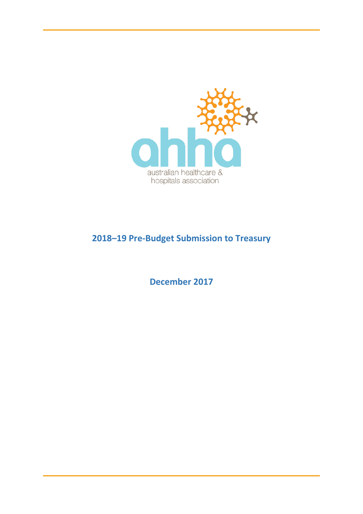

# **2018–19 Pre-Budget Submission to Treasury**

**December 2017**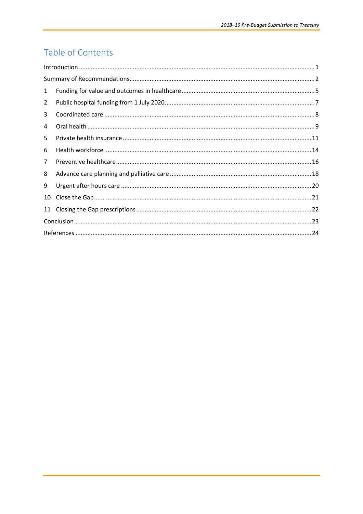# Table of Contents

| $\mathbf{1}$   |  |  |  |  |
|----------------|--|--|--|--|
| $\overline{2}$ |  |  |  |  |
| 3              |  |  |  |  |
| 4              |  |  |  |  |
| 5              |  |  |  |  |
| 6              |  |  |  |  |
| $\overline{7}$ |  |  |  |  |
| 8              |  |  |  |  |
| 9              |  |  |  |  |
| 10             |  |  |  |  |
| 11             |  |  |  |  |
|                |  |  |  |  |
|                |  |  |  |  |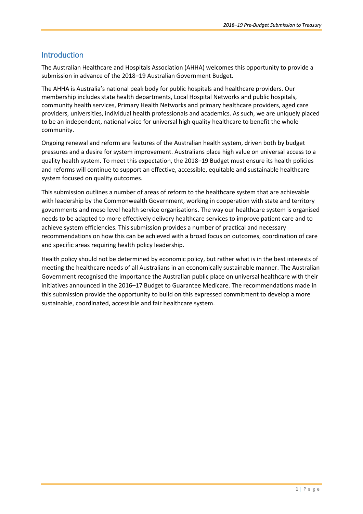# <span id="page-4-0"></span>Introduction

The Australian Healthcare and Hospitals Association (AHHA) welcomes this opportunity to provide a submission in advance of the 2018–19 Australian Government Budget.

The AHHA is Australia's national peak body for public hospitals and healthcare providers. Our membership includes state health departments, Local Hospital Networks and public hospitals, community health services, Primary Health Networks and primary healthcare providers, aged care providers, universities, individual health professionals and academics. As such, we are uniquely placed to be an independent, national voice for universal high quality healthcare to benefit the whole community.

Ongoing renewal and reform are features of the Australian health system, driven both by budget pressures and a desire for system improvement. Australians place high value on universal access to a quality health system. To meet this expectation, the 2018–19 Budget must ensure its health policies and reforms will continue to support an effective, accessible, equitable and sustainable healthcare system focused on quality outcomes.

This submission outlines a number of areas of reform to the healthcare system that are achievable with leadership by the Commonwealth Government, working in cooperation with state and territory governments and meso level health service organisations. The way our healthcare system is organised needs to be adapted to more effectively delivery healthcare services to improve patient care and to achieve system efficiencies. This submission provides a number of practical and necessary recommendations on how this can be achieved with a broad focus on outcomes, coordination of care and specific areas requiring health policy leadership.

Health policy should not be determined by economic policy, but rather what is in the best interests of meeting the healthcare needs of all Australians in an economically sustainable manner. The Australian Government recognised the importance the Australian public place on universal healthcare with their initiatives announced in the 2016–17 Budget to Guarantee Medicare. The recommendations made in this submission provide the opportunity to build on this expressed commitment to develop a more sustainable, coordinated, accessible and fair healthcare system.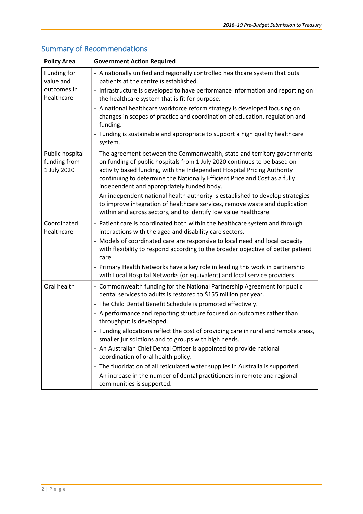| <b>Policy Area</b>                             | <b>Government Action Required</b>                                                                                                                                                                                                                                                                                                                            |
|------------------------------------------------|--------------------------------------------------------------------------------------------------------------------------------------------------------------------------------------------------------------------------------------------------------------------------------------------------------------------------------------------------------------|
| Funding for<br>value and                       | - A nationally unified and regionally controlled healthcare system that puts<br>patients at the centre is established.                                                                                                                                                                                                                                       |
| outcomes in<br>healthcare                      | - Infrastructure is developed to have performance information and reporting on<br>the healthcare system that is fit for purpose.                                                                                                                                                                                                                             |
|                                                | - A national healthcare workforce reform strategy is developed focusing on<br>changes in scopes of practice and coordination of education, regulation and<br>funding.                                                                                                                                                                                        |
|                                                | - Funding is sustainable and appropriate to support a high quality healthcare<br>system.                                                                                                                                                                                                                                                                     |
| Public hospital<br>funding from<br>1 July 2020 | - The agreement between the Commonwealth, state and territory governments<br>on funding of public hospitals from 1 July 2020 continues to be based on<br>activity based funding, with the Independent Hospital Pricing Authority<br>continuing to determine the Nationally Efficient Price and Cost as a fully<br>independent and appropriately funded body. |
|                                                | - An independent national health authority is established to develop strategies<br>to improve integration of healthcare services, remove waste and duplication<br>within and across sectors, and to identify low value healthcare.                                                                                                                           |
| Coordinated<br>healthcare                      | - Patient care is coordinated both within the healthcare system and through<br>interactions with the aged and disability care sectors.                                                                                                                                                                                                                       |
|                                                | - Models of coordinated care are responsive to local need and local capacity<br>with flexibility to respond according to the broader objective of better patient<br>care.                                                                                                                                                                                    |
|                                                | - Primary Health Networks have a key role in leading this work in partnership<br>with Local Hospital Networks (or equivalent) and local service providers.                                                                                                                                                                                                   |
| Oral health                                    | - Commonwealth funding for the National Partnership Agreement for public<br>dental services to adults is restored to \$155 million per year.                                                                                                                                                                                                                 |
|                                                | - The Child Dental Benefit Schedule is promoted effectively.                                                                                                                                                                                                                                                                                                 |
|                                                | - A performance and reporting structure focused on outcomes rather than<br>throughput is developed.                                                                                                                                                                                                                                                          |
|                                                | Funding allocations reflect the cost of providing care in rural and remote areas,<br>smaller jurisdictions and to groups with high needs.                                                                                                                                                                                                                    |
|                                                | - An Australian Chief Dental Officer is appointed to provide national<br>coordination of oral health policy.                                                                                                                                                                                                                                                 |
|                                                | - The fluoridation of all reticulated water supplies in Australia is supported.                                                                                                                                                                                                                                                                              |
|                                                | - An increase in the number of dental practitioners in remote and regional<br>communities is supported.                                                                                                                                                                                                                                                      |

# <span id="page-5-0"></span>Summary of Recommendations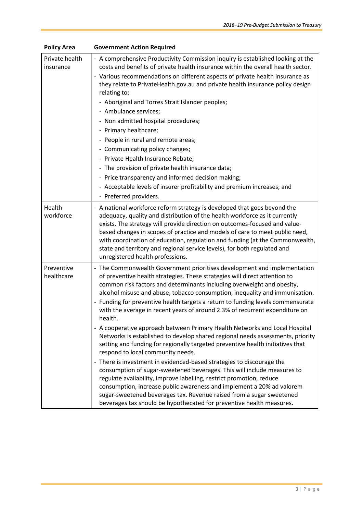| <b>Policy Area</b>          | <b>Government Action Required</b>                                                                                                                                                                                                                                                                                                                                                                                                                                                                                                                                                                                                                                                                                                                                                                                                                                                                                                                                                                                                                                                                                                                                                                                                         |
|-----------------------------|-------------------------------------------------------------------------------------------------------------------------------------------------------------------------------------------------------------------------------------------------------------------------------------------------------------------------------------------------------------------------------------------------------------------------------------------------------------------------------------------------------------------------------------------------------------------------------------------------------------------------------------------------------------------------------------------------------------------------------------------------------------------------------------------------------------------------------------------------------------------------------------------------------------------------------------------------------------------------------------------------------------------------------------------------------------------------------------------------------------------------------------------------------------------------------------------------------------------------------------------|
| Private health<br>insurance | - A comprehensive Productivity Commission inquiry is established looking at the<br>costs and benefits of private health insurance within the overall health sector.<br>- Various recommendations on different aspects of private health insurance as<br>they relate to PrivateHealth.gov.au and private health insurance policy design<br>relating to:<br>- Aboriginal and Torres Strait Islander peoples;<br>- Ambulance services;<br>- Non admitted hospital procedures;<br>- Primary healthcare;<br>- People in rural and remote areas;<br>- Communicating policy changes;<br>- Private Health Insurance Rebate;<br>- The provision of private health insurance data;<br>- Price transparency and informed decision making;<br>- Acceptable levels of insurer profitability and premium increases; and<br>- Preferred providers.                                                                                                                                                                                                                                                                                                                                                                                                       |
| Health<br>workforce         | - A national workforce reform strategy is developed that goes beyond the<br>adequacy, quality and distribution of the health workforce as it currently<br>exists. The strategy will provide direction on outcomes-focused and value-<br>based changes in scopes of practice and models of care to meet public need,<br>with coordination of education, regulation and funding (at the Commonwealth,<br>state and territory and regional service levels), for both regulated and<br>unregistered health professions.                                                                                                                                                                                                                                                                                                                                                                                                                                                                                                                                                                                                                                                                                                                       |
| Preventive<br>healthcare    | - The Commonwealth Government prioritises development and implementation<br>of preventive health strategies. These strategies will direct attention to<br>common risk factors and determinants including overweight and obesity,<br>alcohol misuse and abuse, tobacco consumption, inequality and immunisation.<br>- Funding for preventive health targets a return to funding levels commensurate<br>with the average in recent years of around 2.3% of recurrent expenditure on<br>health.<br>- A cooperative approach between Primary Health Networks and Local Hospital<br>Networks is established to develop shared regional needs assessments, priority<br>setting and funding for regionally targeted preventive health initiatives that<br>respond to local community needs.<br>- There is investment in evidenced-based strategies to discourage the<br>consumption of sugar-sweetened beverages. This will include measures to<br>regulate availability, improve labelling, restrict promotion, reduce<br>consumption, increase public awareness and implement a 20% ad valorem<br>sugar-sweetened beverages tax. Revenue raised from a sugar sweetened<br>beverages tax should be hypothecated for preventive health measures. |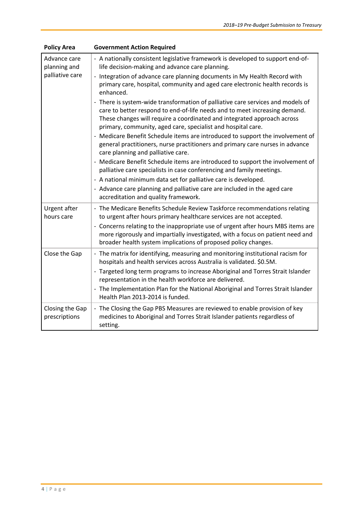| <b>Policy Area</b>               | <b>Government Action Required</b>                                                                                                                                                                                                                                                                        |
|----------------------------------|----------------------------------------------------------------------------------------------------------------------------------------------------------------------------------------------------------------------------------------------------------------------------------------------------------|
| Advance care<br>planning and     | - A nationally consistent legislative framework is developed to support end-of-<br>life decision-making and advance care planning.                                                                                                                                                                       |
| palliative care                  | - Integration of advance care planning documents in My Health Record with<br>primary care, hospital, community and aged care electronic health records is<br>enhanced.                                                                                                                                   |
|                                  | - There is system-wide transformation of palliative care services and models of<br>care to better respond to end-of-life needs and to meet increasing demand.<br>These changes will require a coordinated and integrated approach across<br>primary, community, aged care, specialist and hospital care. |
|                                  | - Medicare Benefit Schedule items are introduced to support the involvement of<br>general practitioners, nurse practitioners and primary care nurses in advance<br>care planning and palliative care.                                                                                                    |
|                                  | - Medicare Benefit Schedule items are introduced to support the involvement of<br>palliative care specialists in case conferencing and family meetings.                                                                                                                                                  |
|                                  | - A national minimum data set for palliative care is developed.                                                                                                                                                                                                                                          |
|                                  | - Advance care planning and palliative care are included in the aged care<br>accreditation and quality framework.                                                                                                                                                                                        |
| Urgent after<br>hours care       | - The Medicare Benefits Schedule Review Taskforce recommendations relating<br>to urgent after hours primary healthcare services are not accepted.                                                                                                                                                        |
|                                  | - Concerns relating to the inappropriate use of urgent after hours MBS items are<br>more rigorously and impartially investigated, with a focus on patient need and<br>broader health system implications of proposed policy changes.                                                                     |
| Close the Gap                    | - The matrix for identifying, measuring and monitoring institutional racism for<br>hospitals and health services across Australia is validated. \$0.5M.                                                                                                                                                  |
|                                  | - Targeted long term programs to increase Aboriginal and Torres Strait Islander<br>representation in the health workforce are delivered.                                                                                                                                                                 |
|                                  | - The Implementation Plan for the National Aboriginal and Torres Strait Islander<br>Health Plan 2013-2014 is funded.                                                                                                                                                                                     |
| Closing the Gap<br>prescriptions | - The Closing the Gap PBS Measures are reviewed to enable provision of key<br>medicines to Aboriginal and Torres Strait Islander patients regardless of<br>setting.                                                                                                                                      |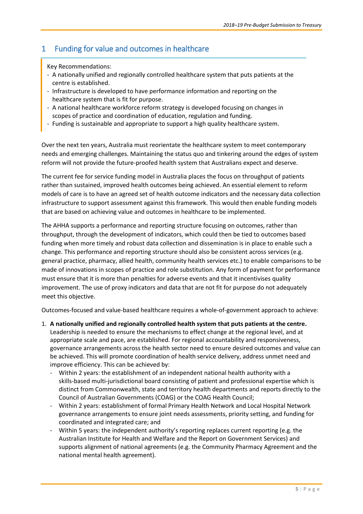# <span id="page-8-0"></span>1 Funding for value and outcomes in healthcare

Key Recommendations:

- A nationally unified and regionally controlled healthcare system that puts patients at the centre is established.
- Infrastructure is developed to have performance information and reporting on the healthcare system that is fit for purpose.
- A national healthcare workforce reform strategy is developed focusing on changes in scopes of practice and coordination of education, regulation and funding.
- Funding is sustainable and appropriate to support a high quality healthcare system.

Over the next ten years, Australia must reorientate the healthcare system to meet contemporary needs and emerging challenges. Maintaining the status quo and tinkering around the edges of system reform will not provide the future-proofed health system that Australians expect and deserve.

The current fee for service funding model in Australia places the focus on throughput of patients rather than sustained, improved health outcomes being achieved. An essential element to reform models of care is to have an agreed set of health outcome indicators and the necessary data collection infrastructure to support assessment against this framework. This would then enable funding models that are based on achieving value and outcomes in healthcare to be implemented.

The AHHA supports a performance and reporting structure focusing on outcomes, rather than throughput, through the development of indicators, which could then be tied to outcomes based funding when more timely and robust data collection and dissemination is in place to enable such a change. This performance and reporting structure should also be consistent across services (e.g. general practice, pharmacy, allied health, community health services etc.) to enable comparisons to be made of innovations in scopes of practice and role substitution. Any form of payment for performance must ensure that it is more than penalties for adverse events and that it incentivises quality improvement. The use of proxy indicators and data that are not fit for purpose do not adequately meet this objective.

Outcomes-focused and value-based healthcare requires a whole-of-government approach to achieve:

- 1. **A nationally unified and regionally controlled health system that puts patients at the centre.** Leadership is needed to ensure the mechanisms to effect change at the regional level, and at appropriate scale and pace, are established. For regional accountability and responsiveness, governance arrangements across the health sector need to ensure desired outcomes and value can be achieved. This will promote coordination of health service delivery, address unmet need and improve efficiency. This can be achieved by:
	- Within 2 years: the establishment of an independent national health authority with a skills-based multi-jurisdictional board consisting of patient and professional expertise which is distinct from Commonwealth, state and territory health departments and reports directly to the Council of Australian Governments (COAG) or the COAG Health Council;
	- Within 2 years: establishment of formal Primary Health Network and Local Hospital Network governance arrangements to ensure joint needs assessments, priority setting, and funding for coordinated and integrated care; and
	- Within 5 years: the independent authority's reporting replaces current reporting (e.g. the Australian Institute for Health and Welfare and the Report on Government Services) and supports alignment of national agreements (e.g. the Community Pharmacy Agreement and the national mental health agreement).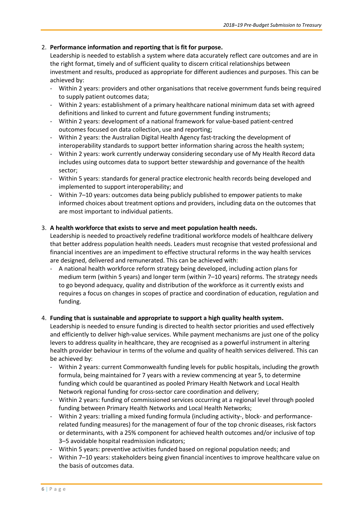# 2. **Performance information and reporting that is fit for purpose.**

Leadership is needed to establish a system where data accurately reflect care outcomes and are in the right format, timely and of sufficient quality to discern critical relationships between investment and results, produced as appropriate for different audiences and purposes. This can be achieved by:

- Within 2 years: providers and other organisations that receive government funds being required to supply patient outcomes data;
- Within 2 years: establishment of a primary healthcare national minimum data set with agreed definitions and linked to current and future government funding instruments;
- Within 2 years: development of a national framework for value-based patient-centred outcomes focused on data collection, use and reporting;
- Within 2 years: the Australian Digital Health Agency fast-tracking the development of interoperability standards to support better information sharing across the health system;
- Within 2 years: work currently underway considering secondary use of My Health Record data includes using outcomes data to support better stewardship and governance of the health sector;
- Within 5 years: standards for general practice electronic health records being developed and implemented to support interoperability; and
- Within 7–10 years: outcomes data being publicly published to empower patients to make informed choices about treatment options and providers, including data on the outcomes that are most important to individual patients.

# 3. **A health workforce that exists to serve and meet population health needs.**

Leadership is needed to proactively redefine traditional workforce models of healthcare delivery that better address population health needs. Leaders must recognise that vested professional and financial incentives are an impediment to effective structural reforms in the way health services are designed, delivered and remunerated. This can be achieved with:

- A national health workforce reform strategy being developed, including action plans for medium term (within 5 years) and longer term (within 7–10 years) reforms. The strategy needs to go beyond adequacy, quality and distribution of the workforce as it currently exists and requires a focus on changes in scopes of practice and coordination of education, regulation and funding.

## 4. **Funding that is sustainable and appropriate to support a high quality health system.**

Leadership is needed to ensure funding is directed to health sector priorities and used effectively and efficiently to deliver high-value services. While payment mechanisms are just one of the policy levers to address quality in healthcare, they are recognised as a powerful instrument in altering health provider behaviour in terms of the volume and quality of health services delivered. This can be achieved by:

- Within 2 years: current Commonwealth funding levels for public hospitals, including the growth formula, being maintained for 7 years with a review commencing at year 5, to determine funding which could be quarantined as pooled Primary Health Network and Local Health Network regional funding for cross-sector care coordination and delivery;
- Within 2 years: funding of commissioned services occurring at a regional level through pooled funding between Primary Health Networks and Local Health Networks;
- Within 2 years: trialling a mixed funding formula (including activity-, block- and performancerelated funding measures) for the management of four of the top chronic diseases, risk factors or determinants, with a 25% component for achieved health outcomes and/or inclusive of top 3–5 avoidable hospital readmission indicators;
- Within 5 years: preventive activities funded based on regional population needs; and
- Within 7-10 years: stakeholders being given financial incentives to improve healthcare value on the basis of outcomes data.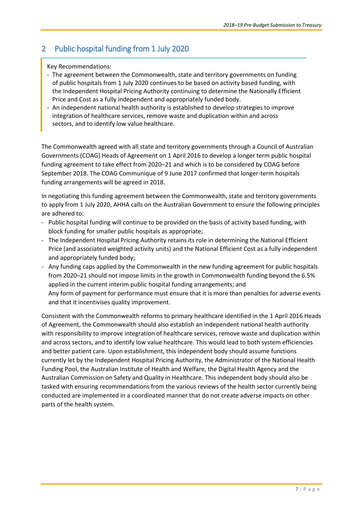# <span id="page-10-0"></span>2 Public hospital funding from 1 July 2020

## Key Recommendations:

- The agreement between the Commonwealth, state and territory governments on funding of public hospitals from 1 July 2020 continues to be based on activity based funding, with the Independent Hospital Pricing Authority continuing to determine the Nationally Efficient Price and Cost as a fully independent and appropriately funded body.
- An independent national health authority is established to develop strategies to improve integration of healthcare services, remove waste and duplication within and across sectors, and to identify low value healthcare.

The Commonwealth agreed with all state and territory governments through a Council of Australian Governments (COAG) Heads of Agreement on 1 April 2016 to develop a longer term public hospital funding agreement to take effect from 2020–21 and which is to be considered by COAG before September 2018. The COAG Communique of 9 June 2017 confirmed that longer-term hospitals funding arrangements will be agreed in 2018.

In negotiating this funding agreement between the Commonwealth, state and territory governments to apply from 1 July 2020, AHHA calls on the Australian Government to ensure the following principles are adhered to:

- Public hospital funding will continue to be provided on the basis of activity based funding, with block funding for smaller public hospitals as appropriate;
- The Independent Hospital Pricing Authority retains its role in determining the National Efficient Price (and associated weighted activity units) and the National Efficient Cost as a fully independent and appropriately funded body;
- Any funding caps applied by the Commonwealth in the new funding agreement for public hospitals from 2020–21 should not impose limits in the growth in Commonwealth funding beyond the 6.5% applied in the current interim public hospital funding arrangements; and Any form of payment for performance must ensure that it is more than penalties for adverse events and that it incentivises quality improvement.

Consistent with the Commonwealth reforms to primary healthcare identified in the 1 April 2016 Heads of Agreement, the Commonwealth should also establish an independent national health authority with responsibility to improve integration of healthcare services, remove waste and duplication within and across sectors, and to identify low value healthcare. This would lead to both system efficiencies and better patient care. Upon establishment, this independent body should assume functions currently let by the Independent Hospital Pricing Authority, the Administrator of the National Health Funding Pool, the Australian Institute of Health and Welfare, the Digital Health Agency and the Australian Commission on Safety and Quality in Healthcare. This independent body should also be tasked with ensuring recommendations from the various reviews of the health sector currently being conducted are implemented in a coordinated manner that do not create adverse impacts on other parts of the health system.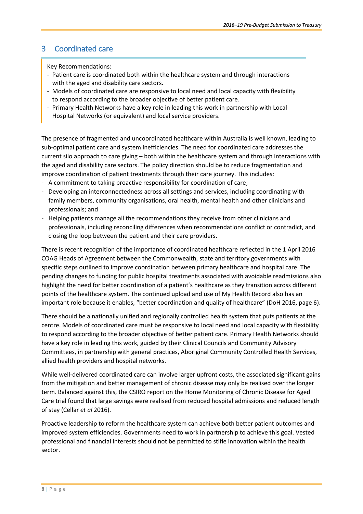# <span id="page-11-0"></span>3 Coordinated care

Key Recommendations:

- Patient care is coordinated both within the healthcare system and through interactions with the aged and disability care sectors.
- Models of coordinated care are responsive to local need and local capacity with flexibility to respond according to the broader objective of better patient care.
- Primary Health Networks have a key role in leading this work in partnership with Local Hospital Networks (or equivalent) and local service providers.

The presence of fragmented and uncoordinated healthcare within Australia is well known, leading to sub-optimal patient care and system inefficiencies. The need for coordinated care addresses the current silo approach to care giving – both within the healthcare system and through interactions with the aged and disability care sectors. The policy direction should be to reduce fragmentation and improve coordination of patient treatments through their care journey. This includes:

- A commitment to taking proactive responsibility for coordination of care;
- Developing an interconnectedness across all settings and services, including coordinating with family members, community organisations, oral health, mental health and other clinicians and professionals; and
- Helping patients manage all the recommendations they receive from other clinicians and professionals, including reconciling differences when recommendations conflict or contradict, and closing the loop between the patient and their care providers.

There is recent recognition of the importance of coordinated healthcare reflected in the 1 April 2016 COAG Heads of Agreement between the Commonwealth, state and territory governments with specific steps outlined to improve coordination between primary healthcare and hospital care. The pending changes to funding for public hospital treatments associated with avoidable readmissions also highlight the need for better coordination of a patient's healthcare as they transition across different points of the healthcare system. The continued upload and use of My Health Record also has an important role because it enables, "better coordination and quality of healthcare" (DoH 2016, page 6).

There should be a nationally unified and regionally controlled health system that puts patients at the centre. Models of coordinated care must be responsive to local need and local capacity with flexibility to respond according to the broader objective of better patient care. Primary Health Networks should have a key role in leading this work, guided by their Clinical Councils and Community Advisory Committees, in partnership with general practices, Aboriginal Community Controlled Health Services, allied health providers and hospital networks.

While well-delivered coordinated care can involve larger upfront costs, the associated significant gains from the mitigation and better management of chronic disease may only be realised over the longer term. Balanced against this, the CSIRO report on the Home Monitoring of Chronic Disease for Aged Care trial found that large savings were realised from reduced hospital admissions and reduced length of stay (Cellar *et al* 2016).

Proactive leadership to reform the healthcare system can achieve both better patient outcomes and improved system efficiencies. Governments need to work in partnership to achieve this goal. Vested professional and financial interests should not be permitted to stifle innovation within the health sector.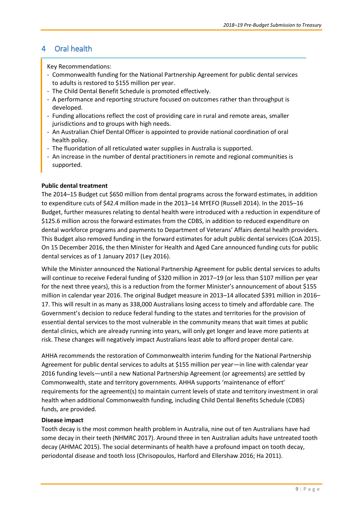# <span id="page-12-0"></span>4 Oral health

Key Recommendations:

- Commonwealth funding for the National Partnership Agreement for public dental services to adults is restored to \$155 million per year.
- The Child Dental Benefit Schedule is promoted effectively.
- A performance and reporting structure focused on outcomes rather than throughput is developed.
- Funding allocations reflect the cost of providing care in rural and remote areas, smaller jurisdictions and to groups with high needs.
- An Australian Chief Dental Officer is appointed to provide national coordination of oral health policy.
- The fluoridation of all reticulated water supplies in Australia is supported.
- An increase in the number of dental practitioners in remote and regional communities is supported.

## **Public dental treatment**

The 2014–15 Budget cut \$650 million from dental programs across the forward estimates, in addition to expenditure cuts of \$42.4 million made in the 2013–14 MYEFO (Russell 2014). In the 2015–16 Budget, further measures relating to dental health were introduced with a reduction in expenditure of \$125.6 million across the forward estimates from the CDBS, in addition to reduced expenditure on dental workforce programs and payments to Department of Veterans' Affairs dental health providers. This Budget also removed funding in the forward estimates for adult public dental services (CoA 2015). On 15 December 2016, the then Minister for Health and Aged Care announced funding cuts for public dental services as of 1 January 2017 (Ley 2016).

While the Minister announced the National Partnership Agreement for public dental services to adults will continue to receive Federal funding of \$320 million in 2017–19 (or less than \$107 million per year for the next three years), this is a reduction from the former Minister's announcement of about \$155 million in calendar year 2016. The original Budget measure in 2013–14 allocated \$391 million in 2016– 17. This will result in as many as 338,000 Australians losing access to timely and affordable care. The Government's decision to reduce federal funding to the states and territories for the provision of essential dental services to the most vulnerable in the community means that wait times at public dental clinics, which are already running into years, will only get longer and leave more patients at risk. These changes will negatively impact Australians least able to afford proper dental care.

AHHA recommends the restoration of Commonwealth interim funding for the National Partnership Agreement for public dental services to adults at \$155 million per year—in line with calendar year 2016 funding levels—until a new National Partnership Agreement (or agreements) are settled by Commonwealth, state and territory governments. AHHA supports 'maintenance of effort' requirements for the agreement(s) to maintain current levels of state and territory investment in oral health when additional Commonwealth funding, including Child Dental Benefits Schedule (CDBS) funds, are provided.

## **Disease impact**

Tooth decay is the most common health problem in Australia, nine out of ten Australians have had some decay in their teeth (NHMRC 2017). Around three in ten Australian adults have untreated tooth decay (AHMAC 2015). The social determinants of health have a profound impact on tooth decay, periodontal disease and tooth loss (Chrisopoulos, Harford and Ellershaw 2016; Ha 2011).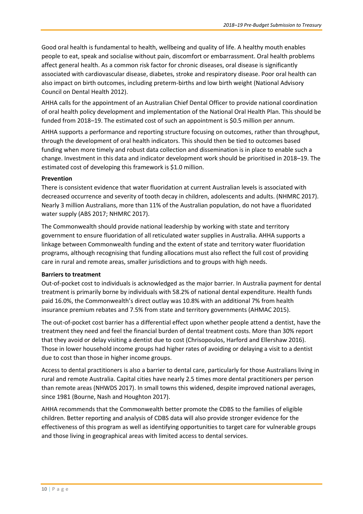Good oral health is fundamental to health, wellbeing and quality of life. A healthy mouth enables people to eat, speak and socialise without pain, discomfort or embarrassment. Oral health problems affect general health. As a common risk factor for chronic diseases, oral disease is significantly associated with cardiovascular disease, diabetes, stroke and respiratory disease. Poor oral health can also impact on birth outcomes, including preterm-births and low birth weight (National Advisory Council on Dental Health 2012).

AHHA calls for the appointment of an Australian Chief Dental Officer to provide national coordination of oral health policy development and implementation of the National Oral Health Plan. This should be funded from 2018–19. The estimated cost of such an appointment is \$0.5 million per annum.

AHHA supports a performance and reporting structure focusing on outcomes, rather than throughput, through the development of oral health indicators. This should then be tied to outcomes based funding when more timely and robust data collection and dissemination is in place to enable such a change. Investment in this data and indicator development work should be prioritised in 2018–19. The estimated cost of developing this framework is \$1.0 million.

# **Prevention**

There is consistent evidence that water fluoridation at current Australian levels is associated with decreased occurrence and severity of tooth decay in children, adolescents and adults. (NHMRC 2017). Nearly 3 million Australians, more than 11% of the Australian population, do not have a fluoridated water supply (ABS 2017; NHMRC 2017).

The Commonwealth should provide national leadership by working with state and territory government to ensure fluoridation of all reticulated water supplies in Australia. AHHA supports a linkage between Commonwealth funding and the extent of state and territory water fluoridation programs, although recognising that funding allocations must also reflect the full cost of providing care in rural and remote areas, smaller jurisdictions and to groups with high needs.

## **Barriers to treatment**

Out-of-pocket cost to individuals is acknowledged as the major barrier. In Australia payment for dental treatment is primarily borne by individuals with 58.2% of national dental expenditure. Health funds paid 16.0%, the Commonwealth's direct outlay was 10.8% with an additional 7% from health insurance premium rebates and 7.5% from state and territory governments (AHMAC 2015).

The out-of-pocket cost barrier has a differential effect upon whether people attend a dentist, have the treatment they need and feel the financial burden of dental treatment costs. More than 30% report that they avoid or delay visiting a dentist due to cost (Chrisopoulos, Harford and Ellershaw 2016). Those in lower household income groups had higher rates of avoiding or delaying a visit to a dentist due to cost than those in higher income groups.

Access to dental practitioners is also a barrier to dental care, particularly for those Australians living in rural and remote Australia. Capital cities have nearly 2.5 times more dental practitioners per person than remote areas (NHWDS 2017). In small towns this widened, despite improved national averages, since 1981 (Bourne, Nash and Houghton 2017).

AHHA recommends that the Commonwealth better promote the CDBS to the families of eligible children. Better reporting and analysis of CDBS data will also provide stronger evidence for the effectiveness of this program as well as identifying opportunities to target care for vulnerable groups and those living in geographical areas with limited access to dental services.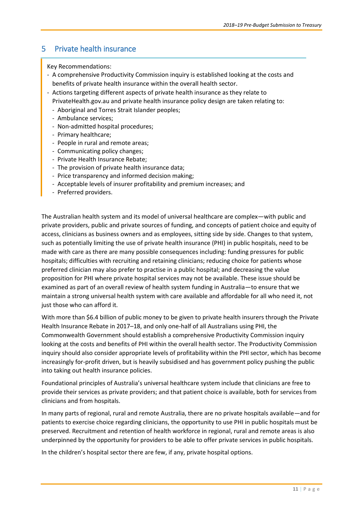# <span id="page-14-0"></span>5 Private health insurance

Key Recommendations:

- A comprehensive Productivity Commission inquiry is established looking at the costs and benefits of private health insurance within the overall health sector.
- Actions targeting different aspects of private health insurance as they relate to PrivateHealth.gov.au and private health insurance policy design are taken relating to:
	- Aboriginal and Torres Strait Islander peoples;
	- Ambulance services;
	- Non-admitted hospital procedures;
	- Primary healthcare;
	- People in rural and remote areas;
	- Communicating policy changes;
	- Private Health Insurance Rebate;
	- The provision of private health insurance data;
	- Price transparency and informed decision making;
	- Acceptable levels of insurer profitability and premium increases; and
	- Preferred providers.

The Australian health system and its model of universal healthcare are complex—with public and private providers, public and private sources of funding, and concepts of patient choice and equity of access, clinicians as business owners and as employees, sitting side by side. Changes to that system, such as potentially limiting the use of private health insurance (PHI) in public hospitals, need to be made with care as there are many possible consequences including: funding pressures for public hospitals; difficulties with recruiting and retaining clinicians; reducing choice for patients whose preferred clinician may also prefer to practise in a public hospital; and decreasing the value proposition for PHI where private hospital services may not be available. These issue should be examined as part of an overall review of health system funding in Australia—to ensure that we maintain a strong universal health system with care available and affordable for all who need it, not just those who can afford it.

With more than \$6.4 billion of public money to be given to private health insurers through the Private Health Insurance Rebate in 2017–18, and only one-half of all Australians using PHI, the Commonwealth Government should establish a comprehensive Productivity Commission inquiry looking at the costs and benefits of PHI within the overall health sector. The Productivity Commission inquiry should also consider appropriate levels of profitability within the PHI sector, which has become increasingly for-profit driven, but is heavily subsidised and has government policy pushing the public into taking out health insurance policies.

Foundational principles of Australia's universal healthcare system include that clinicians are free to provide their services as private providers; and that patient choice is available, both for services from clinicians and from hospitals.

In many parts of regional, rural and remote Australia, there are no private hospitals available—and for patients to exercise choice regarding clinicians, the opportunity to use PHI in public hospitals must be preserved. Recruitment and retention of health workforce in regional, rural and remote areas is also underpinned by the opportunity for providers to be able to offer private services in public hospitals.

In the children's hospital sector there are few, if any, private hospital options.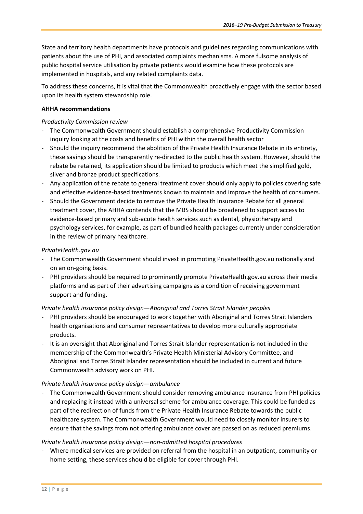State and territory health departments have protocols and guidelines regarding communications with patients about the use of PHI, and associated complaints mechanisms. A more fulsome analysis of public hospital service utilisation by private patients would examine how these protocols are implemented in hospitals, and any related complaints data.

To address these concerns, it is vital that the Commonwealth proactively engage with the sector based upon its health system stewardship role.

## **AHHA recommendations**

## *Productivity Commission review*

- The Commonwealth Government should establish a comprehensive Productivity Commission inquiry looking at the costs and benefits of PHI within the overall health sector
- Should the inquiry recommend the abolition of the Private Health Insurance Rebate in its entirety, these savings should be transparently re-directed to the public health system. However, should the rebate be retained, its application should be limited to products which meet the simplified gold, silver and bronze product specifications.
- Any application of the rebate to general treatment cover should only apply to policies covering safe and effective evidence-based treatments known to maintain and improve the health of consumers.
- Should the Government decide to remove the Private Health Insurance Rebate for all general treatment cover, the AHHA contends that the MBS should be broadened to support access to evidence-based primary and sub-acute health services such as dental, physiotherapy and psychology services, for example, as part of bundled health packages currently under consideration in the review of primary healthcare.

# *PrivateHealth.gov.au*

- The Commonwealth Government should invest in promoting PrivateHealth.gov.au nationally and on an on-going basis.
- PHI providers should be required to prominently promote PrivateHealth.gov.au across their media platforms and as part of their advertising campaigns as a condition of receiving government support and funding.

# *Private health insurance policy design—Aboriginal and Torres Strait Islander peoples*

- PHI providers should be encouraged to work together with Aboriginal and Torres Strait Islanders health organisations and consumer representatives to develop more culturally appropriate products.
- It is an oversight that Aboriginal and Torres Strait Islander representation is not included in the membership of the Commonwealth's Private Health Ministerial Advisory Committee, and Aboriginal and Torres Strait Islander representation should be included in current and future Commonwealth advisory work on PHI.

## *Private health insurance policy design—ambulance*

- The Commonwealth Government should consider removing ambulance insurance from PHI policies and replacing it instead with a universal scheme for ambulance coverage. This could be funded as part of the redirection of funds from the Private Health Insurance Rebate towards the public healthcare system. The Commonwealth Government would need to closely monitor insurers to ensure that the savings from not offering ambulance cover are passed on as reduced premiums.

## *Private health insurance policy design—non-admitted hospital procedures*

Where medical services are provided on referral from the hospital in an outpatient, community or home setting, these services should be eligible for cover through PHI.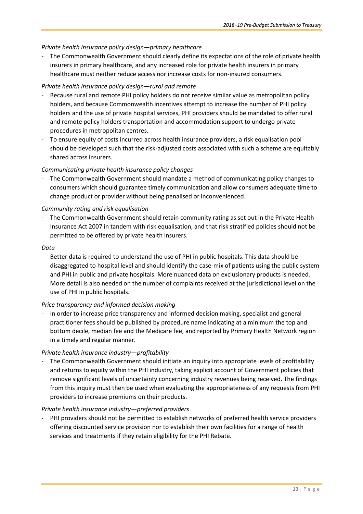# *Private health insurance policy design—primary healthcare*

- The Commonwealth Government should clearly define its expectations of the role of private health insurers in primary healthcare, and any increased role for private health insurers in primary healthcare must neither reduce access nor increase costs for non-insured consumers.

# *Private health insurance policy design—rural and remote*

- Because rural and remote PHI policy holders do not receive similar value as metropolitan policy holders, and because Commonwealth incentives attempt to increase the number of PHI policy holders and the use of private hospital services, PHI providers should be mandated to offer rural and remote policy holders transportation and accommodation support to undergo private procedures in metropolitan centres.
- To ensure equity of costs incurred across health insurance providers, a risk equalisation pool should be developed such that the risk-adjusted costs associated with such a scheme are equitably shared across insurers.

# *Communicating private health insurance policy changes*

The Commonwealth Government should mandate a method of communicating policy changes to consumers which should guarantee timely communication and allow consumers adequate time to change product or provider without being penalised or inconvenienced.

## *Community rating and risk equalisation*

- The Commonwealth Government should retain community rating as set out in the Private Health Insurance Act 2007 in tandem with risk equalisation, and that risk stratified policies should not be permitted to be offered by private health insurers.

## *Data*

- Better data is required to understand the use of PHI in public hospitals. This data should be disaggregated to hospital level and should identify the case-mix of patients using the public system and PHI in public and private hospitals. More nuanced data on exclusionary products is needed. More detail is also needed on the number of complaints received at the jurisdictional level on the use of PHI in public hospitals.

## *Price transparency and informed decision making*

In order to increase price transparency and informed decision making, specialist and general practitioner fees should be published by procedure name indicating at a minimum the top and bottom decile, median fee and the Medicare fee, and reported by Primary Health Network region in a timely and regular manner.

## *Private health insurance industry—profitability*

The Commonwealth Government should initiate an inquiry into appropriate levels of profitability and returns to equity within the PHI industry, taking explicit account of Government policies that remove significant levels of uncertainty concerning industry revenues being received. The findings from this inquiry must then be used when evaluating the appropriateness of any requests from PHI providers to increase premiums on their products.

## *Private health insurance industry—preferred providers*

PHI providers should not be permitted to establish networks of preferred health service providers offering discounted service provision nor to establish their own facilities for a range of health services and treatments if they retain eligibility for the PHI Rebate.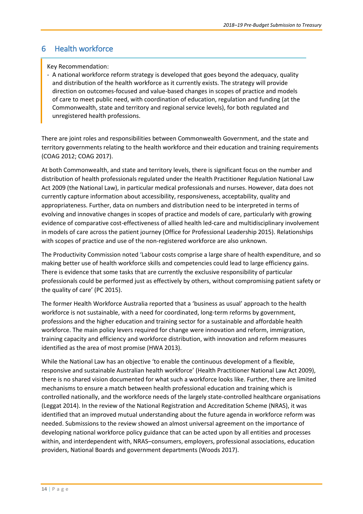# <span id="page-17-0"></span>6 Health workforce

Key Recommendation:

- A national workforce reform strategy is developed that goes beyond the adequacy, quality and distribution of the health workforce as it currently exists. The strategy will provide direction on outcomes-focused and value-based changes in scopes of practice and models of care to meet public need, with coordination of education, regulation and funding (at the Commonwealth, state and territory and regional service levels), for both regulated and unregistered health professions.

There are joint roles and responsibilities between Commonwealth Government, and the state and territory governments relating to the health workforce and their education and training requirements (COAG 2012; COAG 2017).

At both Commonwealth, and state and territory levels, there is significant focus on the number and distribution of health professionals regulated under the Health Practitioner Regulation National Law Act 2009 (the National Law), in particular medical professionals and nurses. However, data does not currently capture information about accessibility, responsiveness, acceptability, quality and appropriateness. Further, data on numbers and distribution need to be interpreted in terms of evolving and innovative changes in scopes of practice and models of care, particularly with growing evidence of comparative cost-effectiveness of allied health led-care and multidisciplinary involvement in models of care across the patient journey (Office for Professional Leadership 2015). Relationships with scopes of practice and use of the non-registered workforce are also unknown.

The Productivity Commission noted 'Labour costs comprise a large share of health expenditure, and so making better use of health workforce skills and competencies could lead to large efficiency gains. There is evidence that some tasks that are currently the exclusive responsibility of particular professionals could be performed just as effectively by others, without compromising patient safety or the quality of care' (PC 2015).

The former Health Workforce Australia reported that a 'business as usual' approach to the health workforce is not sustainable, with a need for coordinated, long-term reforms by government, professions and the higher education and training sector for a sustainable and affordable health workforce. The main policy levers required for change were innovation and reform, immigration, training capacity and efficiency and workforce distribution, with innovation and reform measures identified as the area of most promise (HWA 2013).

While the National Law has an objective 'to enable the continuous development of a flexible, responsive and sustainable Australian health workforce' (Health Practitioner National Law Act 2009), there is no shared vision documented for what such a workforce looks like. Further, there are limited mechanisms to ensure a match between health professional education and training which is controlled nationally, and the workforce needs of the largely state-controlled healthcare organisations (Leggat 2014). In the review of the National Registration and Accreditation Scheme (NRAS), it was identified that an improved mutual understanding about the future agenda in workforce reform was needed. Submissions to the review showed an almost universal agreement on the importance of developing national workforce policy guidance that can be acted upon by all entities and processes within, and interdependent with, NRAS–consumers, employers, professional associations, education providers, National Boards and government departments (Woods 2017).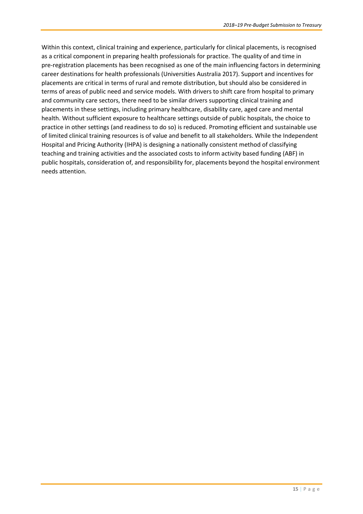Within this context, clinical training and experience, particularly for clinical placements, is recognised as a critical component in preparing health professionals for practice. The quality of and time in pre-registration placements has been recognised as one of the main influencing factors in determining career destinations for health professionals (Universities Australia 2017). Support and incentives for placements are critical in terms of rural and remote distribution, but should also be considered in terms of areas of public need and service models. With drivers to shift care from hospital to primary and community care sectors, there need to be similar drivers supporting clinical training and placements in these settings, including primary healthcare, disability care, aged care and mental health. Without sufficient exposure to healthcare settings outside of public hospitals, the choice to practice in other settings (and readiness to do so) is reduced. Promoting efficient and sustainable use of limited clinical training resources is of value and benefit to all stakeholders. While the Independent Hospital and Pricing Authority (IHPA) is designing a nationally consistent method of classifying teaching and training activities and the associated costs to inform activity based funding (ABF) in public hospitals, consideration of, and responsibility for, placements beyond the hospital environment needs attention.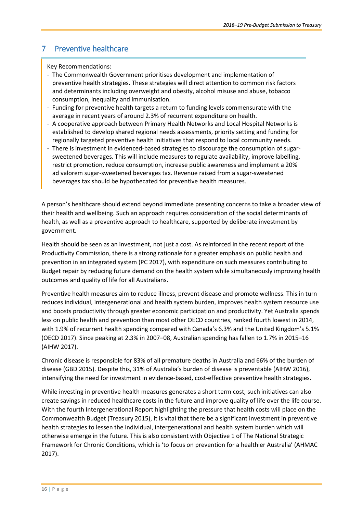# <span id="page-19-0"></span>7 Preventive healthcare

Key Recommendations:

- The Commonwealth Government prioritises development and implementation of preventive health strategies. These strategies will direct attention to common risk factors and determinants including overweight and obesity, alcohol misuse and abuse, tobacco consumption, inequality and immunisation.
- Funding for preventive health targets a return to funding levels commensurate with the average in recent years of around 2.3% of recurrent expenditure on health.
- A cooperative approach between Primary Health Networks and Local Hospital Networks is established to develop shared regional needs assessments, priority setting and funding for regionally targeted preventive health initiatives that respond to local community needs.
- There is investment in evidenced-based strategies to discourage the consumption of sugarsweetened beverages. This will include measures to regulate availability, improve labelling, restrict promotion, reduce consumption, increase public awareness and implement a 20% ad valorem sugar-sweetened beverages tax. Revenue raised from a sugar-sweetened beverages tax should be hypothecated for preventive health measures.

A person's healthcare should extend beyond immediate presenting concerns to take a broader view of their health and wellbeing. Such an approach requires consideration of the social determinants of health, as well as a preventive approach to healthcare, supported by deliberate investment by government.

Health should be seen as an investment, not just a cost. As reinforced in the recent report of the Productivity Commission, there is a strong rationale for a greater emphasis on public health and prevention in an integrated system (PC 2017), with expenditure on such measures contributing to Budget repair by reducing future demand on the health system while simultaneously improving health outcomes and quality of life for all Australians.

Preventive health measures aim to reduce illness, prevent disease and promote wellness. This in turn reduces individual, intergenerational and health system burden, improves health system resource use and boosts productivity through greater economic participation and productivity. Yet Australia spends less on public health and prevention than most other OECD countries, ranked fourth lowest in 2014, with 1.9% of recurrent health spending compared with Canada's 6.3% and the United Kingdom's 5.1% (OECD 2017). Since peaking at 2.3% in 2007–08, Australian spending has fallen to 1.7% in 2015–16 (AIHW 2017).

Chronic disease is responsible for 83% of all premature deaths in Australia and 66% of the burden of disease (GBD 2015). Despite this, 31% of Australia's burden of disease is preventable (AIHW 2016), intensifying the need for investment in evidence-based, cost-effective preventive health strategies.

While investing in preventive health measures generates a short term cost, such initiatives can also create savings in reduced healthcare costs in the future and improve quality of life over the life course. With the fourth Intergenerational Report highlighting the pressure that health costs will place on the Commonwealth Budget (Treasury 2015), it is vital that there be a significant investment in preventive health strategies to lessen the individual, intergenerational and health system burden which will otherwise emerge in the future. This is also consistent with Objective 1 of The National Strategic Framework for Chronic Conditions, which is 'to focus on prevention for a healthier Australia' (AHMAC 2017).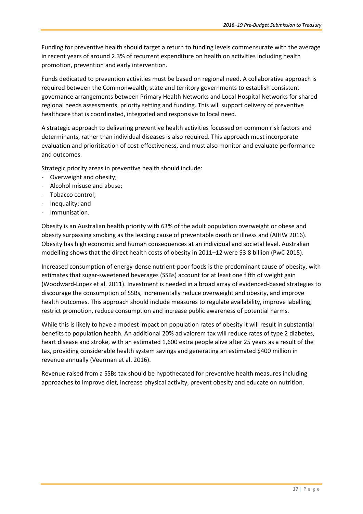Funding for preventive health should target a return to funding levels commensurate with the average in recent years of around 2.3% of recurrent expenditure on health on activities including health promotion, prevention and early intervention.

Funds dedicated to prevention activities must be based on regional need. A collaborative approach is required between the Commonwealth, state and territory governments to establish consistent governance arrangements between Primary Health Networks and Local Hospital Networks for shared regional needs assessments, priority setting and funding. This will support delivery of preventive healthcare that is coordinated, integrated and responsive to local need.

A strategic approach to delivering preventive health activities focussed on common risk factors and determinants, rather than individual diseases is also required. This approach must incorporate evaluation and prioritisation of cost-effectiveness, and must also monitor and evaluate performance and outcomes.

Strategic priority areas in preventive health should include:

- Overweight and obesity;
- Alcohol misuse and abuse;
- Tobacco control;
- Inequality; and
- Immunisation.

Obesity is an Australian health priority with 63% of the adult population overweight or obese and obesity surpassing smoking as the leading cause of preventable death or illness and (AIHW 2016). Obesity has high economic and human consequences at an individual and societal level. Australian modelling shows that the direct health costs of obesity in 2011–12 were \$3.8 billion (PwC 2015).

Increased consumption of energy-dense nutrient-poor foods is the predominant cause of obesity, with estimates that sugar-sweetened beverages (SSBs) account for at least one fifth of weight gain (Woodward-Lopez et al. 2011). Investment is needed in a broad array of evidenced-based strategies to discourage the consumption of SSBs, incrementally reduce overweight and obesity, and improve health outcomes. This approach should include measures to regulate availability, improve labelling, restrict promotion, reduce consumption and increase public awareness of potential harms.

While this is likely to have a modest impact on population rates of obesity it will result in substantial benefits to population health. An additional 20% ad valorem tax will reduce rates of type 2 diabetes, heart disease and stroke, with an estimated 1,600 extra people alive after 25 years as a result of the tax, providing considerable health system savings and generating an estimated \$400 million in revenue annually (Veerman et al. 2016).

Revenue raised from a SSBs tax should be hypothecated for preventive health measures including approaches to improve diet, increase physical activity, prevent obesity and educate on nutrition.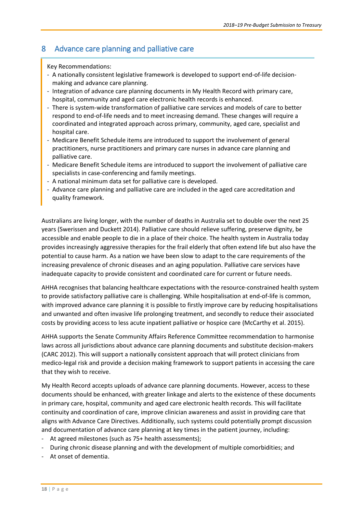# <span id="page-21-0"></span>8 Advance care planning and palliative care

Key Recommendations:

- A nationally consistent legislative framework is developed to support end-of-life decisionmaking and advance care planning.
- Integration of advance care planning documents in My Health Record with primary care, hospital, community and aged care electronic health records is enhanced.
- There is system-wide transformation of palliative care services and models of care to better respond to end-of-life needs and to meet increasing demand. These changes will require a coordinated and integrated approach across primary, community, aged care, specialist and hospital care.
- Medicare Benefit Schedule items are introduced to support the involvement of general practitioners, nurse practitioners and primary care nurses in advance care planning and palliative care.
- Medicare Benefit Schedule items are introduced to support the involvement of palliative care specialists in case-conferencing and family meetings.
- A national minimum data set for palliative care is developed.
- Advance care planning and palliative care are included in the aged care accreditation and quality framework.

Australians are living longer, with the number of deaths in Australia set to double over the next 25 years (Swerissen and Duckett 2014). Palliative care should relieve suffering, preserve dignity, be accessible and enable people to die in a place of their choice. The health system in Australia today provides increasingly aggressive therapies for the frail elderly that often extend life but also have the potential to cause harm. As a nation we have been slow to adapt to the care requirements of the increasing prevalence of chronic diseases and an aging population. Palliative care services have inadequate capacity to provide consistent and coordinated care for current or future needs.

AHHA recognises that balancing healthcare expectations with the resource-constrained health system to provide satisfactory palliative care is challenging. While hospitalisation at end-of-life is common, with improved advance care planning it is possible to firstly improve care by reducing hospitalisations and unwanted and often invasive life prolonging treatment, and secondly to reduce their associated costs by providing access to less acute inpatient palliative or hospice care (McCarthy et al. 2015).

AHHA supports the Senate Community Affairs Reference Committee recommendation to harmonise laws across all jurisdictions about advance care planning documents and substitute decision-makers (CARC 2012). This will support a nationally consistent approach that will protect clinicians from medico-legal risk and provide a decision making framework to support patients in accessing the care that they wish to receive.

My Health Record accepts uploads of advance care planning documents. However, access to these documents should be enhanced, with greater linkage and alerts to the existence of these documents in primary care, hospital, community and aged care electronic health records. This will facilitate continuity and coordination of care, improve clinician awareness and assist in providing care that aligns with Advance Care Directives. Additionally, such systems could potentially prompt discussion and documentation of advance care planning at key times in the patient journey, including:

- At agreed milestones (such as 75+ health assessments);
- During chronic disease planning and with the development of multiple comorbidities; and
- At onset of dementia.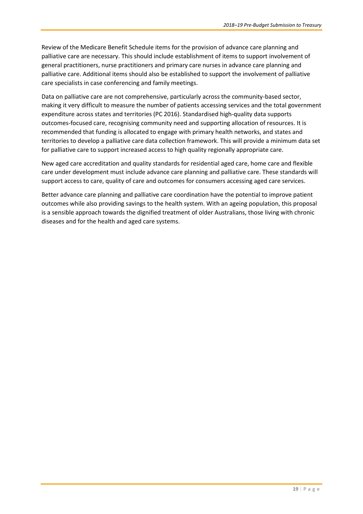Review of the Medicare Benefit Schedule items for the provision of advance care planning and palliative care are necessary. This should include establishment of items to support involvement of general practitioners, nurse practitioners and primary care nurses in advance care planning and palliative care. Additional items should also be established to support the involvement of palliative care specialists in case conferencing and family meetings.

Data on palliative care are not comprehensive, particularly across the community-based sector, making it very difficult to measure the number of patients accessing services and the total government expenditure across states and territories (PC 2016). Standardised high-quality data supports outcomes-focused care, recognising community need and supporting allocation of resources. It is recommended that funding is allocated to engage with primary health networks, and states and territories to develop a palliative care data collection framework. This will provide a minimum data set for palliative care to support increased access to high quality regionally appropriate care.

New aged care accreditation and quality standards for residential aged care, home care and flexible care under development must include advance care planning and palliative care. These standards will support access to care, quality of care and outcomes for consumers accessing aged care services.

Better advance care planning and palliative care coordination have the potential to improve patient outcomes while also providing savings to the health system. With an ageing population, this proposal is a sensible approach towards the dignified treatment of older Australians, those living with chronic diseases and for the health and aged care systems.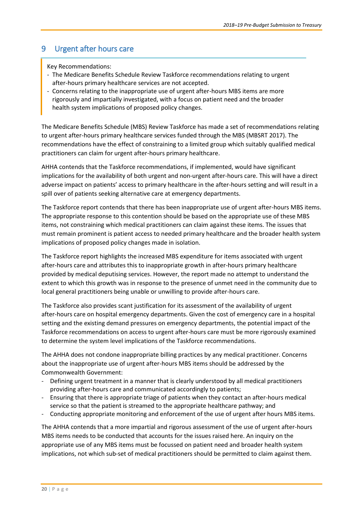# <span id="page-23-0"></span>9 Urgent after hours care

Key Recommendations:

- The Medicare Benefits Schedule Review Taskforce recommendations relating to urgent after-hours primary healthcare services are not accepted.
- Concerns relating to the inappropriate use of urgent after-hours MBS items are more rigorously and impartially investigated, with a focus on patient need and the broader health system implications of proposed policy changes.

The Medicare Benefits Schedule (MBS) Review Taskforce has made a set of recommendations relating to urgent after-hours primary healthcare services funded through the MBS (MBSRT 2017). The recommendations have the effect of constraining to a limited group which suitably qualified medical practitioners can claim for urgent after-hours primary healthcare.

AHHA contends that the Taskforce recommendations, if implemented, would have significant implications for the availability of both urgent and non-urgent after-hours care. This will have a direct adverse impact on patients' access to primary healthcare in the after-hours setting and will result in a spill over of patients seeking alternative care at emergency departments.

The Taskforce report contends that there has been inappropriate use of urgent after-hours MBS items. The appropriate response to this contention should be based on the appropriate use of these MBS items, not constraining which medical practitioners can claim against these items. The issues that must remain prominent is patient access to needed primary healthcare and the broader health system implications of proposed policy changes made in isolation.

The Taskforce report highlights the increased MBS expenditure for items associated with urgent after-hours care and attributes this to inappropriate growth in after-hours primary healthcare provided by medical deputising services. However, the report made no attempt to understand the extent to which this growth was in response to the presence of unmet need in the community due to local general practitioners being unable or unwilling to provide after-hours care.

The Taskforce also provides scant justification for its assessment of the availability of urgent after-hours care on hospital emergency departments. Given the cost of emergency care in a hospital setting and the existing demand pressures on emergency departments, the potential impact of the Taskforce recommendations on access to urgent after-hours care must be more rigorously examined to determine the system level implications of the Taskforce recommendations.

The AHHA does not condone inappropriate billing practices by any medical practitioner. Concerns about the inappropriate use of urgent after-hours MBS items should be addressed by the Commonwealth Government:

- Defining urgent treatment in a manner that is clearly understood by all medical practitioners providing after-hours care and communicated accordingly to patients;
- Ensuring that there is appropriate triage of patients when they contact an after-hours medical service so that the patient is streamed to the appropriate healthcare pathway; and
- Conducting appropriate monitoring and enforcement of the use of urgent after hours MBS items.

The AHHA contends that a more impartial and rigorous assessment of the use of urgent after-hours MBS items needs to be conducted that accounts for the issues raised here. An inquiry on the appropriate use of any MBS items must be focussed on patient need and broader health system implications, not which sub-set of medical practitioners should be permitted to claim against them.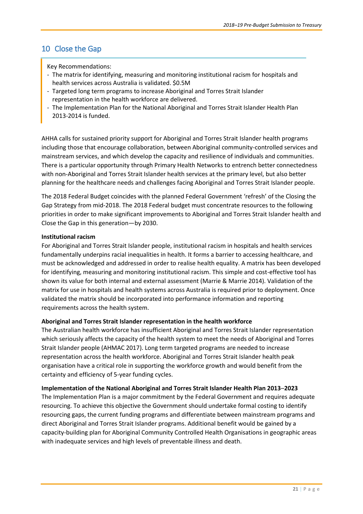# <span id="page-24-0"></span>10 Close the Gap

Key Recommendations:

- The matrix for identifying, measuring and monitoring institutional racism for hospitals and health services across Australia is validated. \$0.5M
- Targeted long term programs to increase Aboriginal and Torres Strait Islander representation in the health workforce are delivered.
- The Implementation Plan for the National Aboriginal and Torres Strait Islander Health Plan 2013-2014 is funded.

AHHA calls for sustained priority support for Aboriginal and Torres Strait Islander health programs including those that encourage collaboration, between Aboriginal community-controlled services and mainstream services, and which develop the capacity and resilience of individuals and communities. There is a particular opportunity through Primary Health Networks to entrench better connectedness with non-Aboriginal and Torres Strait Islander health services at the primary level, but also better planning for the healthcare needs and challenges facing Aboriginal and Torres Strait Islander people.

The 2018 Federal Budget coincides with the planned Federal Government 'refresh' of the Closing the Gap Strategy from mid-2018. The 2018 Federal budget must concentrate resources to the following priorities in order to make significant improvements to Aboriginal and Torres Strait Islander health and Close the Gap in this generation—by 2030.

#### **Institutional racism**

For Aboriginal and Torres Strait Islander people, institutional racism in hospitals and health services fundamentally underpins racial inequalities in health. It forms a barrier to accessing healthcare, and must be acknowledged and addressed in order to realise health equality. A matrix has been developed for identifying, measuring and monitoring institutional racism. This simple and cost-effective tool has shown its value for both internal and external assessment (Marrie & Marrie 2014). Validation of the matrix for use in hospitals and health systems across Australia is required prior to deployment. Once validated the matrix should be incorporated into performance information and reporting requirements across the health system.

#### **Aboriginal and Torres Strait Islander representation in the health workforce**

The Australian health workforce has insufficient Aboriginal and Torres Strait Islander representation which seriously affects the capacity of the health system to meet the needs of Aboriginal and Torres Strait Islander people (AHMAC 2017). Long term targeted programs are needed to increase representation across the health workforce. Aboriginal and Torres Strait Islander health peak organisation have a critical role in supporting the workforce growth and would benefit from the certainty and efficiency of 5-year funding cycles.

#### **Implementation of the National Aboriginal and Torres Strait Islander Health Plan 2013**–**2023**

The Implementation Plan is a major commitment by the Federal Government and requires adequate resourcing. To achieve this objective the Government should undertake formal costing to identify resourcing gaps, the current funding programs and differentiate between mainstream programs and direct Aboriginal and Torres Strait Islander programs. Additional benefit would be gained by a capacity-building plan for Aboriginal Community Controlled Health Organisations in geographic areas with inadequate services and high levels of preventable illness and death.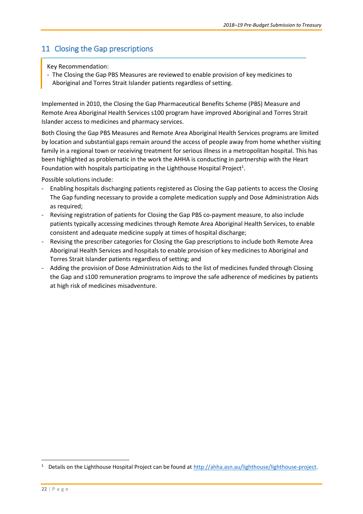# <span id="page-25-0"></span>11 Closing the Gap prescriptions

Key Recommendation:

- The Closing the Gap PBS Measures are reviewed to enable provision of key medicines to Aboriginal and Torres Strait Islander patients regardless of setting.

Implemented in 2010, the Closing the Gap Pharmaceutical Benefits Scheme (PBS) Measure and Remote Area Aboriginal Health Services s100 program have improved Aboriginal and Torres Strait Islander access to medicines and pharmacy services.

Both Closing the Gap PBS Measures and Remote Area Aboriginal Health Services programs are limited by location and substantial gaps remain around the access of people away from home whether visiting family in a regional town or receiving treatment for serious illness in a metropolitan hospital. This has been highlighted as problematic in the work the AHHA is conducting in partnership with the Heart Foundation with hospitals participating in the Lighthouse Hospital Project<sup>1</sup>.

Possible solutions include:

- Enabling hospitals discharging patients registered as Closing the Gap patients to access the Closing The Gap funding necessary to provide a complete medication supply and Dose Administration Aids as required;
- Revising registration of patients for Closing the Gap PBS co-payment measure, to also include patients typically accessing medicines through Remote Area Aboriginal Health Services, to enable consistent and adequate medicine supply at times of hospital discharge;
- Revising the prescriber categories for Closing the Gap prescriptions to include both Remote Area Aboriginal Health Services and hospitals to enable provision of key medicines to Aboriginal and Torres Strait Islander patients regardless of setting; and
- Adding the provision of Dose Administration Aids to the list of medicines funded through Closing the Gap and s100 remuneration programs to improve the safe adherence of medicines by patients at high risk of medicines misadventure.

 $\overline{\phantom{a}}$ 

Details on the Lighthouse Hospital Project can be found at [http://ahha.asn.au/lighthouse/lighthouse-project.](http://ahha.asn.au/lighthouse/lighthouse-project)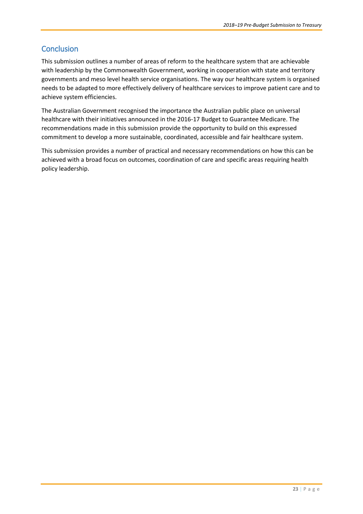# <span id="page-26-0"></span>**Conclusion**

This submission outlines a number of areas of reform to the healthcare system that are achievable with leadership by the Commonwealth Government, working in cooperation with state and territory governments and meso level health service organisations. The way our healthcare system is organised needs to be adapted to more effectively delivery of healthcare services to improve patient care and to achieve system efficiencies.

The Australian Government recognised the importance the Australian public place on universal healthcare with their initiatives announced in the 2016-17 Budget to Guarantee Medicare. The recommendations made in this submission provide the opportunity to build on this expressed commitment to develop a more sustainable, coordinated, accessible and fair healthcare system.

This submission provides a number of practical and necessary recommendations on how this can be achieved with a broad focus on outcomes, coordination of care and specific areas requiring health policy leadership.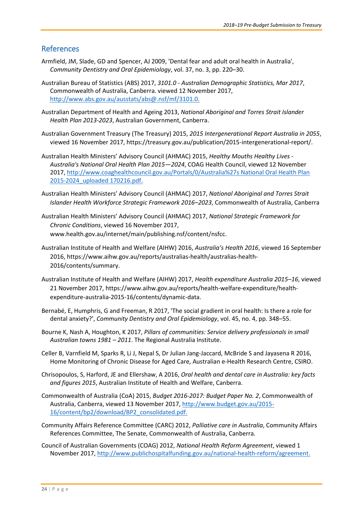# <span id="page-27-0"></span>References

- Armfield, JM, Slade, GD and Spencer, AJ 2009, 'Dental fear and adult oral health in Australia', *Community Dentistry and Oral Epidemiology*, vol. 37, no. 3, pp. 220–30.
- Australian Bureau of Statistics (ABS) 2017, *3101.0 - Australian Demographic Statistics, Mar 2017*, Commonwealth of Australia, Canberra. viewed 12 November 2017, [http://www.abs.gov.au/ausstats/abs@.nsf/mf/3101.0.](http://www.abs.gov.au/ausstats/abs@.nsf/mf/3101.0)
- Australian Department of Health and Ageing 2013, *National Aboriginal and Torres Strait Islander Health Plan 2013-2023*, Australian Government, Canberra.
- Australian Government Treasury (The Treasury) 2015, *2015 Intergenerational Report Australia in 2055*, viewed 16 November 2017, https://treasury.gov.au/publication/2015-intergenerational-report/.
- Australian Health Ministers' Advisory Council (AHMAC) 2015, *Healthy Mouths Healthy Lives - Australia's National Oral Health Plan 2015—2024*, COAG Health Council, viewed 12 November 2017, [http://www.coaghealthcouncil.gov.au/Portals/0/Australia%27s National Oral Health Plan](http://www.coaghealthcouncil.gov.au/Portals/0/Australia%27s%20National%20Oral%20Health%20Plan%202015-2024_uploaded%20170216.pdf)  [2015-2024\\_uploaded 170216.pdf.](http://www.coaghealthcouncil.gov.au/Portals/0/Australia%27s%20National%20Oral%20Health%20Plan%202015-2024_uploaded%20170216.pdf)
- Australian Health Ministers' Advisory Council (AHMAC) 2017, *National Aboriginal and Torres Strait Islander Health Workforce Strategic Framework 2016–2023*, Commonwealth of Australia, Canberra
- Australian Health Ministers' Advisory Council (AHMAC) 2017, *National Strategic Framework for Chronic Conditions*, viewed 16 November 2017, www.health.gov.au/internet/main/publishing.nsf/content/nsfcc.
- Australian Institute of Health and Welfare (AIHW) 2016, *Australia's Health 2016*, viewed 16 September 2016, https://www.aihw.gov.au/reports/australias-health/australias-health-2016/contents/summary.
- Australian Institute of Health and Welfare (AIHW) 2017, *Health expenditure Australia 2015–16*, viewed 21 November 2017, https://www.aihw.gov.au/reports/health-welfare-expenditure/healthexpenditure-australia-2015-16/contents/dynamic-data.
- Bernabé, E, Humphris, G and Freeman, R 2017, 'The social gradient in oral health: Is there a role for dental anxiety?', *Community Dentistry and Oral Epidemiology*, vol. 45, no. 4, pp. 348–55.
- Bourne K, Nash A, Houghton, K 2017, *Pillars of communities: Service delivery professionals in small Australian towns 1981 – 2011*. The Regional Australia Institute.
- Celler B, Varnfield M, Sparks R, Li J, Nepal S, Dr Julian Jang-Jaccard, McBride S and Jayasena R 2016, Home Monitoring of Chronic Disease for Aged Care, Australian e-Health Research Centre, CSIRO.
- Chrisopoulos, S, Harford, JE and Ellershaw, A 2016, *Oral health and dental care in Australia: key facts and figures 2015*, Australian Institute of Health and Welfare, Canberra.
- Commonwealth of Australia (CoA) 2015, *Budget 2016-2017: Budget Paper No. 2*, Commonwealth of Australia, Canberra, viewed 13 November 2017, [http://www.budget.gov.au/2015-](http://www.budget.gov.au/2015-16/content/bp2/download/BP2_consolidated.pdf) [16/content/bp2/download/BP2\\_consolidated.pdf.](http://www.budget.gov.au/2015-16/content/bp2/download/BP2_consolidated.pdf)
- Community Affairs Reference Committee (CARC) 2012, *Palliative care in Australia*, Community Affairs References Committee, The Senate, Commonwealth of Australia, Canberra.
- Council of Australian Governments (COAG) 2012, *National Health Reform Agreement*, viewed 1 November 2017, [http://www.publichospitalfunding.gov.au/national-health-reform/agreement.](http://www.publichospitalfunding.gov.au/national-health-reform/agreement)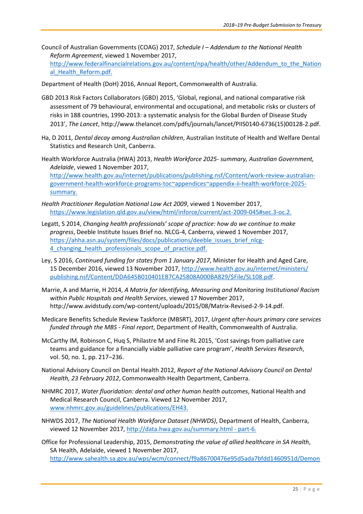Council of Australian Governments (COAG) 2017, *Schedule I – Addendum to the National Health Reform Agreement*, viewed 1 November 2017,

[http://www.federalfinancialrelations.gov.au/content/npa/health/other/Addendum\\_to\\_the\\_Nation](http://www.federalfinancialrelations.gov.au/content/npa/health/other/Addendum_to_the_National_Health_Reform.pdf) al Health Reform.pdf.

Department of Health (DoH) 2016, Annual Report, Commonwealth of Australia.

- GBD 2013 Risk Factors Collaborators (GBD) 2015, 'Global, regional, and national comparative risk assessment of 79 behavioural, environmental and occupational, and metabolic risks or clusters of risks in 188 countries, 1990-2013: a systematic analysis for the Global Burden of Disease Study 2013', *The Lancet*, http://www.thelancet.com/pdfs/journals/lancet/PIIS0140-6736(15)00128-2.pdf.
- Ha, D 2011, *Dental decay among Australian children*, Australian Institute of Health and Welfare Dental Statistics and Research Unit, Canberra.
- Health Workforce Australia (HWA) 2013, *Health Workforce 2025- summary, Australian Government, Adelaide*, viewed 1 November 2017,

[http://www.health.gov.au/internet/publications/publishing.nsf/Content/work-review-australian](http://www.health.gov.au/internet/publications/publishing.nsf/Content/work-review-australian-government-health-workforce-programs-toc~appendices~appendix-ii-health-workforce-2025-summary)[government-health-workforce-programs-toc~appendices~appendix-ii-health-workforce-2025](http://www.health.gov.au/internet/publications/publishing.nsf/Content/work-review-australian-government-health-workforce-programs-toc~appendices~appendix-ii-health-workforce-2025-summary) [summary.](http://www.health.gov.au/internet/publications/publishing.nsf/Content/work-review-australian-government-health-workforce-programs-toc~appendices~appendix-ii-health-workforce-2025-summary)

- *Health Practitioner Regulation National Law Act 2009*, viewed 1 November 2017, [https://www.legislation.qld.gov.au/view/html/inforce/current/act-2009-045#sec.3-oc.2.](https://www.legislation.qld.gov.au/view/html/inforce/current/act-2009-045#sec.3-oc.2)
- Legatt, S 2014, *Changing health professionals' scope of practice: how do we continue to make progress*, Deeble Institute Issues Brief no. NLCG-4, Canberra, viewed 1 November 2017, [https://ahha.asn.au/system/files/docs/publications/deeble\\_issues\\_brief\\_nlcg-](https://ahha.asn.au/system/files/docs/publications/deeble_issues_brief_nlcg-4_changing_health_professionals_scope_of_practice.pdf)4 changing health professionals scope of practice.pdf.
- Ley, S 2016, *Continued funding for states from 1 January 2017*, Minister for Health and Aged Care, 15 December 2016, viewed 13 November 2017[, http://www.health.gov.au/internet/ministers/](http://www.health.gov.au/internet/ministers/publishing.nsf/Content/DDA645B010401EB7CA25808A000BA829/$File/SL108.pdf) [publishing.nsf/Content/DDA645B010401EB7CA25808A000BA829/\\$File/SL108.pdf.](http://www.health.gov.au/internet/ministers/publishing.nsf/Content/DDA645B010401EB7CA25808A000BA829/$File/SL108.pdf)
- Marrie, A and Marrie, H 2014, *A Matrix for Identifying, Measuring and Monitoring Institutional Racism within Public Hospitals and Health Services*, viewed 17 November 2017, http://www.avidstudy.com/wp-content/uploads/2015/08/Matrix-Revised-2-9-14.pdf.
- Medicare Benefits Schedule Review Taskforce (MBSRT), 2017, *Urgent after-hours primary care services funded through the MBS - Final report*, Department of Health, Commonwealth of Australia.
- McCarthy IM, Robinson C, Huq S, Philastre M and Fine RL 2015, 'Cost savings from palliative care teams and guidance for a financially viable palliative care program', *Health Services Research*, vol. 50, no. 1, pp. 217–236.
- National Advisory Council on Dental Health 2012, *Report of the National Advisory Council on Dental Health, 23 February 2012*, Commonwealth Health Department, Canberra.
- NHMRC 2017, *Water fluoridation: dental and other human health outcomes*, National Health and Medical Research Council, Canberra. Viewed 12 November 2017, [www.nhmrc.gov.au/guidelines/publications/EH43.](file:///C:/Users/ksilk/AppData/Local/Microsoft/Windows/Temporary%20Internet%20Files/Content.Outlook/X84SBG8X/www.nhmrc.gov.au/guidelines/publications/EH43)
- NHWDS 2017, *The National Health Workforce Dataset (NHWDS)*, Department of Health, Canberra, viewed 12 November 2017[, http://data.hwa.gov.au/summary.html -](http://data.hwa.gov.au/summary.html#part-6) part-6.
- Office for Professional Leadership, 2015, *Demonstrating the value of allied healthcare in SA Health*, SA Health, Adelaide, viewed 1 November 2017, [http://www.sahealth.sa.gov.au/wps/wcm/connect/f9a86700476e95d5ada7bfdd1460951d/Demon](http://www.sahealth.sa.gov.au/wps/wcm/connect/f9a86700476e95d5ada7bfdd1460951d/Demonstrating+the+Value+of+Allied+Health+Care+Final+20.02.15.pdf?MOD=AJPERES&CACHEID=f9a86700476e95d5ada7bfdd1460951d)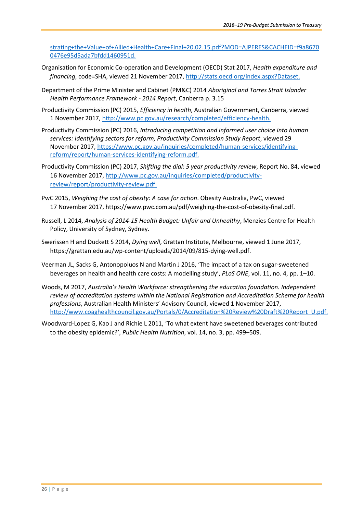[strating+the+Value+of+Allied+Health+Care+Final+20.02.15.pdf?MOD=AJPERES&CACHEID=f9a8670](http://www.sahealth.sa.gov.au/wps/wcm/connect/f9a86700476e95d5ada7bfdd1460951d/Demonstrating+the+Value+of+Allied+Health+Care+Final+20.02.15.pdf?MOD=AJPERES&CACHEID=f9a86700476e95d5ada7bfdd1460951d) [0476e95d5ada7bfdd1460951d.](http://www.sahealth.sa.gov.au/wps/wcm/connect/f9a86700476e95d5ada7bfdd1460951d/Demonstrating+the+Value+of+Allied+Health+Care+Final+20.02.15.pdf?MOD=AJPERES&CACHEID=f9a86700476e95d5ada7bfdd1460951d)

- Organisation for Economic Co-operation and Development (OECD) Stat 2017, *Health expenditure and financing*, code=SHA, viewed 21 November 2017, [http://stats.oecd.org/index.aspx?Dataset.](http://stats.oecd.org/index.aspx?Dataset)
- Department of the Prime Minister and Cabinet (PM&C) 2014 *Aboriginal and Torres Strait Islander Health Performance Framework - 2014 Report*, Canberra p. 3.15
- Productivity Commission (PC) 2015, *Efficiency in health*, Australian Government, Canberra, viewed 1 November 2017[, http://www.pc.gov.au/research/completed/efficiency-health.](http://www.pc.gov.au/research/completed/efficiency-health)
- Productivity Commission (PC) 2016, *Introducing competition and informed user choice into human services: Identifying sectors for reform, Productivity Commission Study Report*, viewed 29 November 2017[, https://www.pc.gov.au/inquiries/completed/human-services/identifying](https://www.pc.gov.au/inquiries/completed/human-services/identifying-reform/report/human-services-identifying-reform.pdf)[reform/report/human-services-identifying-reform.pdf.](https://www.pc.gov.au/inquiries/completed/human-services/identifying-reform/report/human-services-identifying-reform.pdf)
- Productivity Commission (PC) 2017, *Shifting the dial: 5 year productivity review*, Report No. 84, viewed 16 November 2017, [http://www.pc.gov.au/inquiries/completed/productivity](http://www.pc.gov.au/inquiries/completed/productivity-review/report/productivity-review.pdf)[review/report/productivity-review.pdf.](http://www.pc.gov.au/inquiries/completed/productivity-review/report/productivity-review.pdf)
- PwC 2015, *Weighing the cost of obesity: A case for action*. Obesity Australia, PwC, viewed 17 November 2017, https://www.pwc.com.au/pdf/weighing-the-cost-of-obesity-final.pdf.
- Russell, L 2014, *Analysis of 2014‐15 Health Budget: Unfair and Unhealthy*, Menzies Centre for Health Policy, University of Sydney, Sydney.
- Swerissen H and Duckett S 2014, *Dying well*, Grattan Institute, Melbourne, viewed 1 June 2017, https://grattan.edu.au/wp-content/uploads/2014/09/815-dying-well.pdf.
- Veerman JL, Sacks G, Antonopoluos N and Martin J 2016, 'The impact of a tax on sugar-sweetened beverages on health and health care costs: A modelling study', *PLoS ONE*, vol. 11, no. 4, pp. 1–10.
- Woods, M 2017, *Australia's Health Workforce: strengthening the education foundation. Independent review of accreditation systems within the National Registration and Accreditation Scheme for health professions*, Australian Health Ministers' Advisory Council, viewed 1 November 2017, [http://www.coaghealthcouncil.gov.au/Portals/0/Accreditation%20Review%20Draft%20Report\\_U.pdf.](http://www.coaghealthcouncil.gov.au/Portals/0/Accreditation%20Review%20Draft%20Report_U.pdf)
- Woodward-Lopez G, Kao J and Richie L 2011, 'To what extent have sweetened beverages contributed to the obesity epidemic?', *Public Health Nutrition*, vol. 14, no. 3, pp. 499–509.